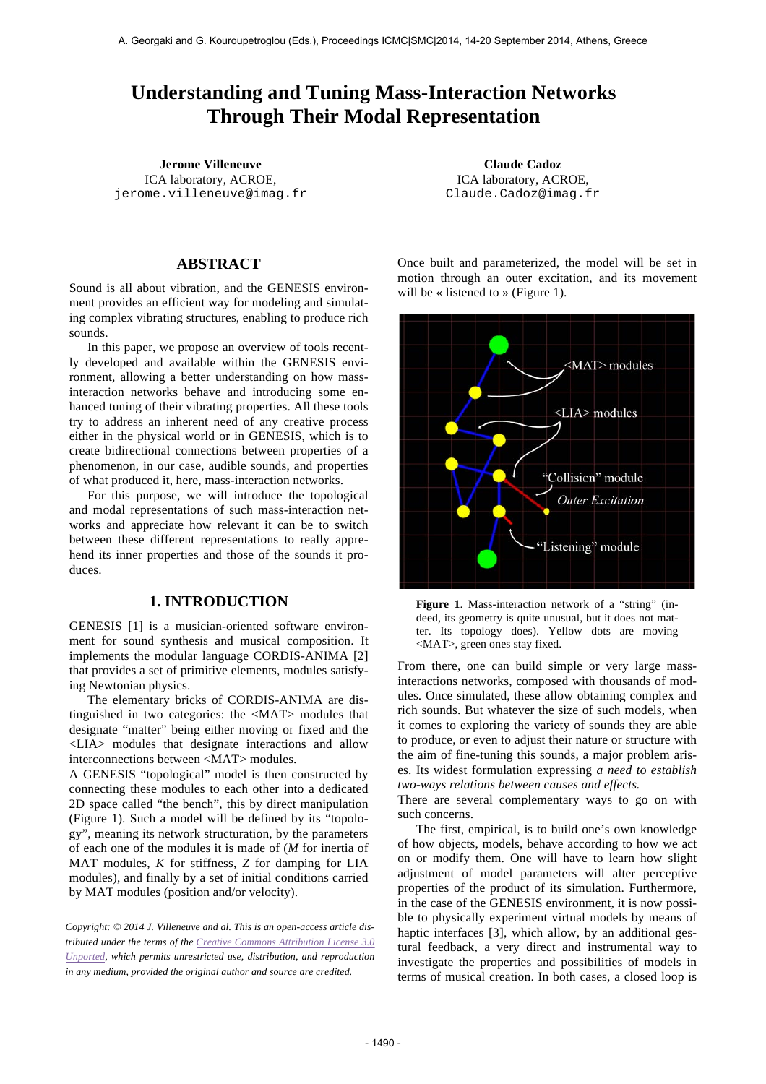# **Understanding and Tuning Mass-Interaction Networks Through Their Modal Representation**

**Jerome Villeneuve Claude Cadoz** ICA laboratory, ACROE, jerome.villeneuve@imag.fr

## **ABSTRACT**

Sound is all about vibration, and the GENESIS environment provides an efficient way for modeling and simulating complex vibrating structures, enabling to produce rich sounds.

In this paper, we propose an overview of tools recently developed and available within the GENESIS environment, allowing a better understanding on how massinteraction networks behave and introducing some enhanced tuning of their vibrating properties. All these tools try to address an inherent need of any creative process either in the physical world or in GENESIS, which is to create bidirectional connections between properties of a phenomenon, in our case, audible sounds, and properties of what produced it, here, mass-interaction networks.

For this purpose, we will introduce the topological and modal representations of such mass-interaction networks and appreciate how relevant it can be to switch between these different representations to really apprehend its inner properties and those of the sounds it produces.

## **1. INTRODUCTION**

GENESIS [1] is a musician-oriented software environment for sound synthesis and musical composition. It implements the modular language CORDIS-ANIMA [2] that provides a set of primitive elements, modules satisfying Newtonian physics.

The elementary bricks of CORDIS-ANIMA are distinguished in two categories: the <MAT> modules that designate "matter" being either moving or fixed and the <LIA> modules that designate interactions and allow interconnections between <MAT> modules.

A GENESIS "topological" model is then constructed by connecting these modules to each other into a dedicated 2D space called "the bench", this by direct manipulation (Figure 1). Such a model will be defined by its "topology", meaning its network structuration, by the parameters of each one of the modules it is made of (*M* for inertia of MAT modules, *K* for stiffness, *Z* for damping for LIA modules), and finally by a set of initial conditions carried by MAT modules (position and/or velocity).

*Copyright: © 2014 J. Villeneuve and al. This is an open-access article distributed under the terms of the Creative Commons Attribution License 3.0 Unported, which permits unrestricted use, distribution, and reproduction in any medium, provided the original author and source are credited.*

ICA laboratory, ACROE, Claude.Cadoz@imag.fr

Once built and parameterized, the model will be set in motion through an outer excitation, and its movement will be « listened to » (Figure 1).



**Figure 1**. Mass-interaction network of a "string" (indeed, its geometry is quite unusual, but it does not matter. Its topology does). Yellow dots are moving <MAT>, green ones stay fixed.

From there, one can build simple or very large massinteractions networks, composed with thousands of modules. Once simulated, these allow obtaining complex and rich sounds. But whatever the size of such models, when it comes to exploring the variety of sounds they are able to produce, or even to adjust their nature or structure with the aim of fine-tuning this sounds, a major problem arises. Its widest formulation expressing *a need to establish two-ways relations between causes and effects.*

There are several complementary ways to go on with such concerns.

The first, empirical, is to build one's own knowledge of how objects, models, behave according to how we act on or modify them. One will have to learn how slight adjustment of model parameters will alter perceptive properties of the product of its simulation. Furthermore, in the case of the GENESIS environment, it is now possible to physically experiment virtual models by means of haptic interfaces [3], which allow, by an additional gestural feedback, a very direct and instrumental way to investigate the properties and possibilities of models in terms of musical creation. In both cases, a closed loop is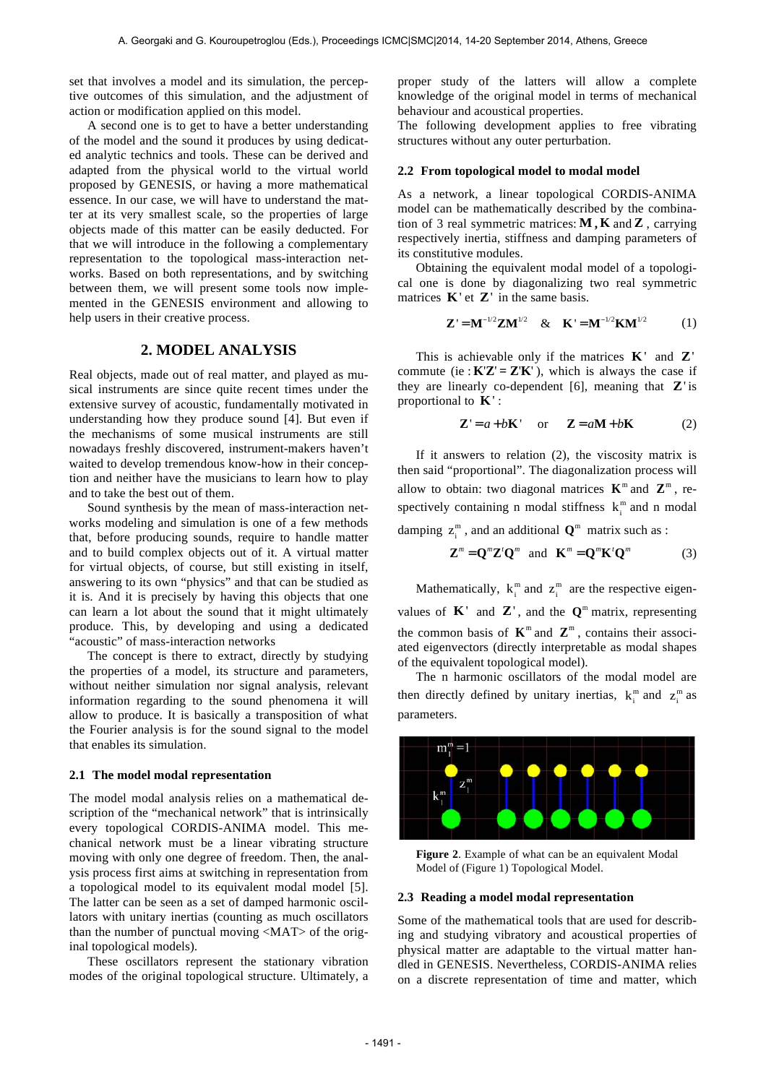set that involves a model and its simulation, the perceptive outcomes of this simulation, and the adjustment of action or modification applied on this model.

A second one is to get to have a better understanding of the model and the sound it produces by using dedicated analytic technics and tools. These can be derived and adapted from the physical world to the virtual world proposed by GENESIS, or having a more mathematical essence. In our case, we will have to understand the matter at its very smallest scale, so the properties of large objects made of this matter can be easily deducted. For that we will introduce in the following a complementary representation to the topological mass-interaction networks. Based on both representations, and by switching between them, we will present some tools now implemented in the GENESIS environment and allowing to help users in their creative process.

## **2. MODEL ANALYSIS**

Real objects, made out of real matter, and played as musical instruments are since quite recent times under the extensive survey of acoustic, fundamentally motivated in understanding how they produce sound [4]. But even if the mechanisms of some musical instruments are still nowadays freshly discovered, instrument-makers haven't waited to develop tremendous know-how in their conception and neither have the musicians to learn how to play and to take the best out of them.

Sound synthesis by the mean of mass-interaction networks modeling and simulation is one of a few methods that, before producing sounds, require to handle matter and to build complex objects out of it. A virtual matter for virtual objects, of course, but still existing in itself, answering to its own "physics" and that can be studied as it is. And it is precisely by having this objects that one can learn a lot about the sound that it might ultimately produce. This, by developing and using a dedicated "acoustic" of mass-interaction networks

The concept is there to extract, directly by studying the properties of a model, its structure and parameters, without neither simulation nor signal analysis, relevant information regarding to the sound phenomena it will allow to produce. It is basically a transposition of what the Fourier analysis is for the sound signal to the model that enables its simulation.

#### **2.1 The model modal representation**

The model modal analysis relies on a mathematical description of the "mechanical network" that is intrinsically every topological CORDIS-ANIMA model. This mechanical network must be a linear vibrating structure moving with only one degree of freedom. Then, the analysis process first aims at switching in representation from a topological model to its equivalent modal model [5]. The latter can be seen as a set of damped harmonic oscillators with unitary inertias (counting as much oscillators than the number of punctual moving <MAT> of the original topological models).

These oscillators represent the stationary vibration modes of the original topological structure. Ultimately, a proper study of the latters will allow a complete knowledge of the original model in terms of mechanical behaviour and acoustical properties.

The following development applies to free vibrating structures without any outer perturbation.

#### **2.2 From topological model to modal model**

As a network, a linear topological CORDIS-ANIMA model can be mathematically described by the combination of 3 real symmetric matrices: **M , K** and **Z** , carrying respectively inertia, stiffness and damping parameters of its constitutive modules.

Obtaining the equivalent modal model of a topological one is done by diagonalizing two real symmetric matrices **K**' et **Z**' in the same basis.

$$
Z' = M^{-1/2} Z M^{1/2} \& K' = M^{-1/2} K M^{1/2}
$$
 (1)

This is achievable only if the matrices **K**' and **Z**' commute (ie:  $K'Z' = Z'K'$ ), which is always the case if they are linearly co-dependent [6], meaning that **Z**' is proportional to **K**' :

$$
\mathbf{Z}' = a + b\mathbf{K}' \quad \text{or} \quad \mathbf{Z} = a\mathbf{M} + b\mathbf{K} \tag{2}
$$

If it answers to relation (2), the viscosity matrix is then said "proportional". The diagonalization process will allow to obtain: two diagonal matrices  $K^m$  and  $Z^m$ , respectively containing n modal stiffness  $k_i^m$  and n modal

damping  $z_i^m$ , and an additional  $\mathbf{Q}^m$  matrix such as :

$$
\mathbf{Z}^{m} = \mathbf{Q}^{m} \mathbf{Z}^{\prime} \mathbf{Q}^{m} \text{ and } \mathbf{K}^{m} = \mathbf{Q}^{m} \mathbf{K}^{\prime} \mathbf{Q}^{m}
$$
 (3)

Mathematically,  $k_i^m$  and  $z_i^m$  are the respective eigenvalues of  $\mathbf{K}'$  and  $\mathbf{Z}'$ , and the  $\mathbf{Q}^m$  matrix, representing the common basis of  $K^m$  and  $Z^m$ , contains their associated eigenvectors (directly interpretable as modal shapes of the equivalent topological model).

The n harmonic oscillators of the modal model are then directly defined by unitary inertias,  $k_i^m$  and  $z_i^m$  as parameters.



**Figure 2**. Example of what can be an equivalent Modal Model of (Figure 1) Topological Model.

### **2.3 Reading a model modal representation**

Some of the mathematical tools that are used for describing and studying vibratory and acoustical properties of physical matter are adaptable to the virtual matter handled in GENESIS. Nevertheless, CORDIS-ANIMA relies on a discrete representation of time and matter, which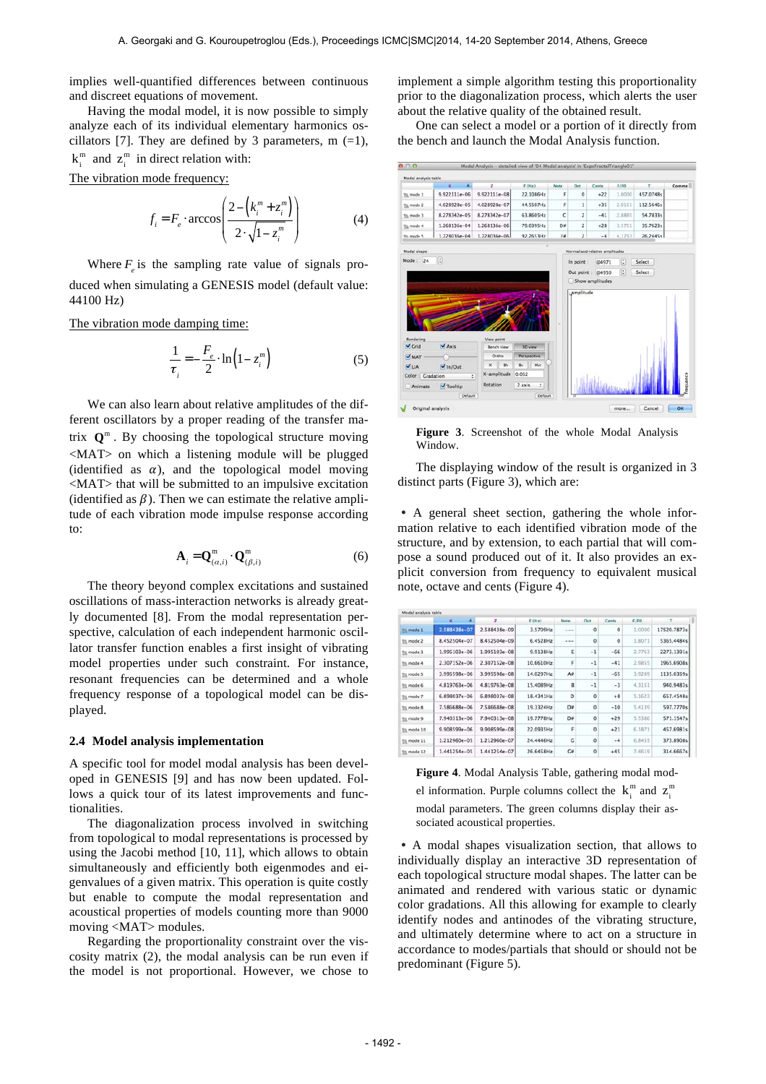implies well-quantified differences between continuous and discreet equations of movement.

Having the modal model, it is now possible to simply analyze each of its individual elementary harmonics oscillators [7]. They are defined by 3 parameters, m  $(=1)$ ,  $k_i^m$  and  $z_i^m$  in direct relation with: The vibration mode frequency:

> $f_i = F_e \cdot \arccos$  $2-\left(k_i^m+z_i^m\right)$  $2 \cdot \sqrt{1-z_i^m}$ ( \$  $\overline{\phantom{a}}$  $\overline{\phantom{a}}$ & '  $\overline{\phantom{a}}$  $(4)$

Where  $F_{\ell}$  is the sampling rate value of signals produced when simulating a GENESIS model (default value: 44100 Hz)

The vibration mode damping time:

$$
\frac{1}{\tau_i} = -\frac{F_e}{2} \cdot \ln\left(1 - z_i^m\right) \tag{5}
$$

We can also learn about relative amplitudes of the different oscillators by a proper reading of the transfer matrix  $\mathbf{O}^m$ . By choosing the topological structure moving <MAT> on which a listening module will be plugged (identified as  $\alpha$ ), and the topological model moving <MAT> that will be submitted to an impulsive excitation (identified as  $\beta$ ). Then we can estimate the relative amplitude of each vibration mode impulse response according to:

$$
\mathbf{A}_{i} = \mathbf{Q}^{\mathbf{m}}_{(\alpha,i)} \cdot \mathbf{Q}^{\mathbf{m}}_{(\beta,i)}
$$
(6)

The theory beyond complex excitations and sustained oscillations of mass-interaction networks is already greatly documented [8]. From the modal representation perspective, calculation of each independent harmonic oscillator transfer function enables a first insight of vibrating model properties under such constraint. For instance, resonant frequencies can be determined and a whole frequency response of a topological model can be displayed.

#### **2.4 Model analysis implementation**

A specific tool for model modal analysis has been developed in GENESIS [9] and has now been updated. Follows a quick tour of its latest improvements and functionalities.

The diagonalization process involved in switching from topological to modal representations is processed by using the Jacobi method [10, 11], which allows to obtain simultaneously and efficiently both eigenmodes and eigenvalues of a given matrix. This operation is quite costly but enable to compute the modal representation and acoustical properties of models counting more than 9000 moving <MAT> modules.

Regarding the proportionality constraint over the viscosity matrix (2), the modal analysis can be run even if the model is not proportional. However, we chose to

implement a simple algorithm testing this proportionality prior to the diagonalization process, which alerts the user about the relative quality of the obtained result.

One can select a model or a portion of it directly from the bench and launch the Modal Analysis function.

|                                                                               | Modal analysis table      |                     |                        |       |                         |                                |        |           |                    |
|-------------------------------------------------------------------------------|---------------------------|---------------------|------------------------|-------|-------------------------|--------------------------------|--------|-----------|--------------------|
|                                                                               | Kolon<br>×                | z                   | F(Hz)                  | Note: | Oct                     | <b>Cents</b>                   | F/FO   | T.        | Comme <sup>[</sup> |
| To mode 1                                                                     | 9.922111e-06              | 9.922111e-08        | 22.1086Hz              | ۶     | $\circ$                 | $+22$                          | 1.0000 | 457.0748s |                    |
| the mode 2                                                                    | 4.028928e-05              | 4.028928e-07        | 44.5507Hz              | F     | 1                       | $+35$                          | 2.0151 | 112.5646s |                    |
| <b>TIL mode 3</b>                                                             | 8.278342e-05              | 8.278342e-07        | 63.860SHz              | C     | $\overline{\mathbf{z}}$ | $-41$                          | 2.8885 | 54.7833s  |                    |
| Tij, mode 4                                                                   | 1.268136e-04              | 1.268136e-06        | 79.0395Hz              | D#    | $\overline{\mathbf{z}}$ | $+28$                          | 3.5751 | 35.7623s  |                    |
| In mode 5                                                                     | 1.728036e-04              | 1.728036e-06        | 92.2653Hz              | F#    | $\overline{ }$          | $-4$                           | 4.1733 | 26.24454  |                    |
| Modal shape                                                                   |                           |                     |                        |       |                         | Normalized relative amplitudes |        |           |                    |
| Mode: 24                                                                      | $\boxed{1}$               |                     |                        |       |                         |                                |        |           |                    |
|                                                                               |                           |                     |                        |       | In point:               | @4971                          | G      | Select    |                    |
|                                                                               |                           |                     |                        |       |                         |                                |        |           |                    |
|                                                                               |                           |                     |                        |       | Out point :             | @4950                          | G      | Select    |                    |
|                                                                               |                           |                     |                        |       | amplitude               | Show amplitudes                |        |           |                    |
|                                                                               |                           |                     |                        |       |                         |                                |        |           |                    |
| Rendering                                                                     |                           | View point          |                        |       |                         |                                |        |           |                    |
|                                                                               | $\blacktriangledown$ Axis | Bench view<br>Ortho | 3D view<br>Perspective |       |                         |                                |        |           |                    |
|                                                                               | $\frac{1}{2}$ In/Out      | in.<br>$x -$        | Bv.<br>Myt             |       |                         |                                |        |           |                    |
|                                                                               | ÷                         | X-amplitude         | 0.052                  |       |                         |                                |        |           |                    |
| $\sqrt{C}$ rid<br><b>V MAT</b><br><b>VLIA</b><br>Color : Cradation<br>Animate | Tooltip                   | Rotation            | 2 axis<br>÷            |       |                         |                                |        |           | equence            |

**Figure 3**. Screenshot of the whole Modal Analysis Window.

The displaying window of the result is organized in 3 distinct parts (Figure 3), which are:

• A general sheet section, gathering the whole information relative to each identified vibration mode of the structure, and by extension, to each partial that will compose a sound produced out of it. It also provides an explicit conversion from frequency to equivalent musical note, octave and cents (Figure 4).

|                    | ĸ<br>٠       | z                | F(Mz)     | Note | Oct                 | <b>Cents</b> | F/FO.  | т           |
|--------------------|--------------|------------------|-----------|------|---------------------|--------------|--------|-------------|
| <b>Titl mode 1</b> | 2.588438e-07 | 2.588438e-09     | 3.5709Hz  | $-1$ | $\ddot{\mathbf{0}}$ | ō            | 1,0000 | 17520.7873s |
| <b>Illa</b> mode 2 | 8.452504e-07 | 8.452504e-09     | 6.4528Hz  | $-$  | $\circ$             | $\circ$      | 1.8071 | 5365.4484s  |
| <b>To mode 3</b>   | 1.995103e-06 | 1.995103e-08     | 9.9138Hz  | Ε    | $-1$                | $-66$        | 2.7763 | 2273.1391s  |
| Till mode 4        | 2.307152e-06 | 2.307152e-08     | 10.6610Hz | F    | $-1$                | $-41$        | 2.9855 | 1965.6908s  |
| Till, mode 5       | 3.995598e-06 | 3.995598e-08     | 14.0297Hz | A#   | $-1$                | $-65$        | 3.9289 | 1135.0359s  |
| <b>TIL mode 6</b>  | 4.819763e-06 | 4.819763e-08     | 15.4089Hz | g.   | $-1$                | $-3$         | 4.3151 | 940.9483s   |
| the mode 7         | 6.898037e-06 | 6.898037e-08     | 18.4341Hz | D    | $\ddot{\mathbf{0}}$ | $+8$         | 5.1623 | 657.4548s   |
| Till, mode &       | 7.586688e-06 | 7.586688e-08     | 19.3324Hz | D#   | $\circ$             | $-10$        | 5.4139 | 597.7770s   |
| Tij, mode 9        | 7.940313e-06 | 7.940313e-08     | 19.7778Hz | D#   | $\circ$             | $+29$        | 5.5386 | 571.1547s   |
| to mode 10         | 9.908599e-06 | $9.908599e - 08$ | 22.0935Hz | F    | $\circ$             | $+21$        | 6,1871 | 457.6981s   |
| the mode 11        | 1.212960e-05 | 1.212960e-07     | 24.4446Hz | c    | $\circ$             | $-4$         | 6,8455 | 373.8908s   |
| To mode 12         | 1.441254e-05 | 1.441254e-07     | 26.6458Hz | CH   | $\mathbf 0$         | $+45$        | 7,4619 | 314.66675   |

**Figure 4**. Modal Analysis Table, gathering modal model information. Purple columns collect the  $k_i^m$  and  $z_i^m$ modal parameters. The green columns display their associated acoustical properties.

• A modal shapes visualization section, that allows to individually display an interactive 3D representation of each topological structure modal shapes. The latter can be animated and rendered with various static or dynamic color gradations. All this allowing for example to clearly identify nodes and antinodes of the vibrating structure, and ultimately determine where to act on a structure in accordance to modes/partials that should or should not be predominant (Figure 5).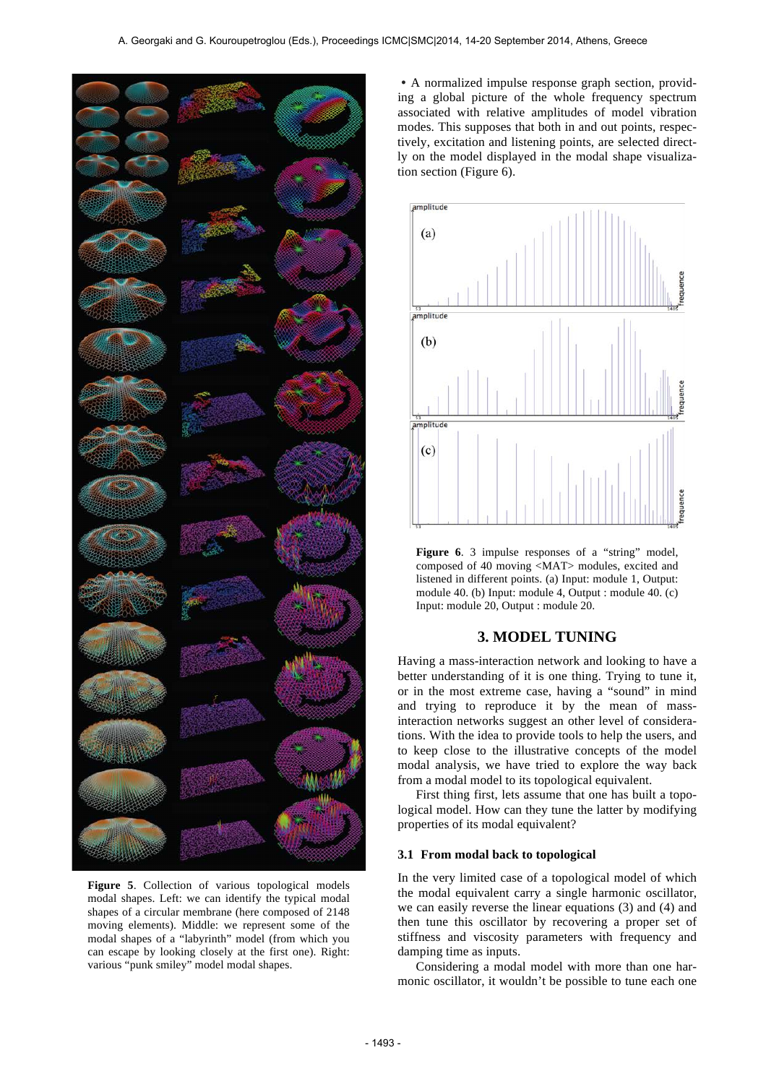

**Figure 5**. Collection of various topological models modal shapes. Left: we can identify the typical modal shapes of a circular membrane (here composed of 2148 moving elements). Middle: we represent some of the modal shapes of a "labyrinth" model (from which you can escape by looking closely at the first one). Right: various "punk smiley" model modal shapes.

• A normalized impulse response graph section, providing a global picture of the whole frequency spectrum associated with relative amplitudes of model vibration modes. This supposes that both in and out points, respectively, excitation and listening points, are selected directly on the model displayed in the modal shape visualization section (Figure 6).

![](_page_3_Figure_4.jpeg)

**Figure 6**. 3 impulse responses of a "string" model, composed of 40 moving <MAT> modules, excited and listened in different points. (a) Input: module 1, Output: module 40. (b) Input: module 4, Output : module 40. (c) Input: module 20, Output : module 20.

## **3. MODEL TUNING**

Having a mass-interaction network and looking to have a better understanding of it is one thing. Trying to tune it, or in the most extreme case, having a "sound" in mind and trying to reproduce it by the mean of massinteraction networks suggest an other level of considerations. With the idea to provide tools to help the users, and to keep close to the illustrative concepts of the model modal analysis, we have tried to explore the way back from a modal model to its topological equivalent.

First thing first, lets assume that one has built a topological model. How can they tune the latter by modifying properties of its modal equivalent?

#### **3.1 From modal back to topological**

In the very limited case of a topological model of which the modal equivalent carry a single harmonic oscillator, we can easily reverse the linear equations (3) and (4) and then tune this oscillator by recovering a proper set of stiffness and viscosity parameters with frequency and damping time as inputs.

Considering a modal model with more than one harmonic oscillator, it wouldn't be possible to tune each one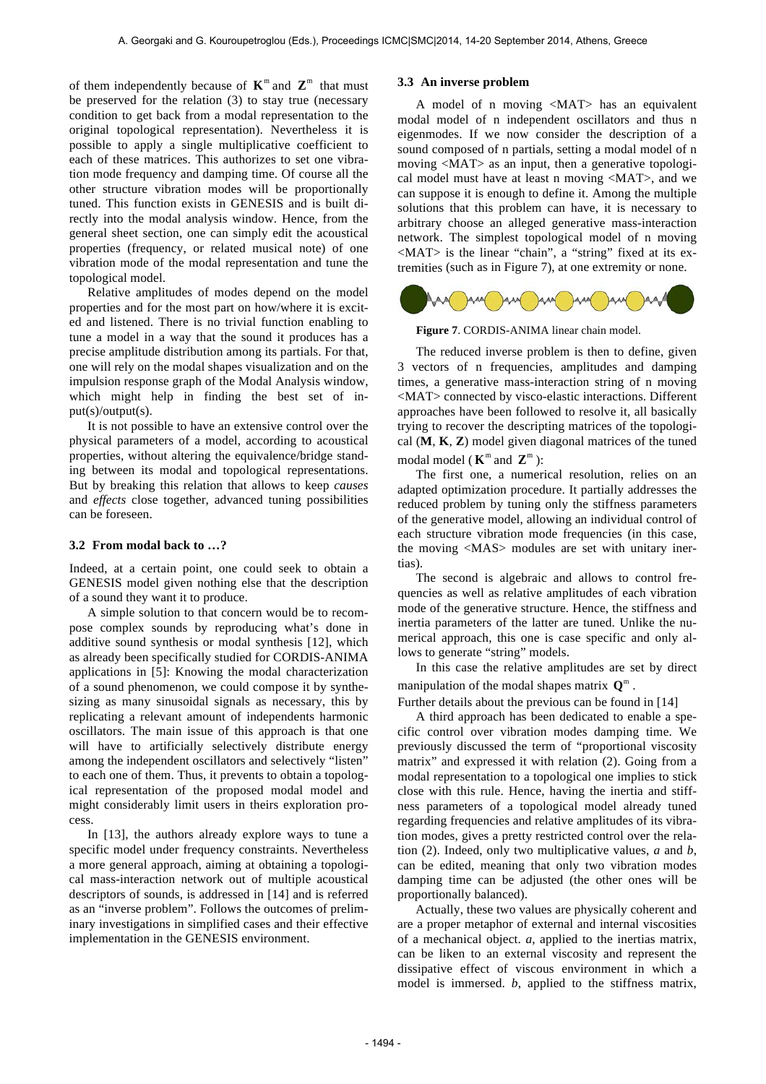of them independently because of  $K^m$  and  $Z^m$  that must be preserved for the relation (3) to stay true (necessary condition to get back from a modal representation to the original topological representation). Nevertheless it is possible to apply a single multiplicative coefficient to each of these matrices. This authorizes to set one vibration mode frequency and damping time. Of course all the other structure vibration modes will be proportionally tuned. This function exists in GENESIS and is built directly into the modal analysis window. Hence, from the general sheet section, one can simply edit the acoustical properties (frequency, or related musical note) of one vibration mode of the modal representation and tune the topological model.

Relative amplitudes of modes depend on the model properties and for the most part on how/where it is excited and listened. There is no trivial function enabling to tune a model in a way that the sound it produces has a precise amplitude distribution among its partials. For that, one will rely on the modal shapes visualization and on the impulsion response graph of the Modal Analysis window, which might help in finding the best set of input(s)/output(s).

It is not possible to have an extensive control over the physical parameters of a model, according to acoustical properties, without altering the equivalence/bridge standing between its modal and topological representations. But by breaking this relation that allows to keep *causes* and *effects* close together, advanced tuning possibilities can be foreseen.

#### **3.2 From modal back to …?**

Indeed, at a certain point, one could seek to obtain a GENESIS model given nothing else that the description of a sound they want it to produce.

A simple solution to that concern would be to recompose complex sounds by reproducing what's done in additive sound synthesis or modal synthesis [12], which as already been specifically studied for CORDIS-ANIMA applications in [5]: Knowing the modal characterization of a sound phenomenon, we could compose it by synthesizing as many sinusoidal signals as necessary, this by replicating a relevant amount of independents harmonic oscillators. The main issue of this approach is that one will have to artificially selectively distribute energy among the independent oscillators and selectively "listen" to each one of them. Thus, it prevents to obtain a topological representation of the proposed modal model and might considerably limit users in theirs exploration process.

In [13], the authors already explore ways to tune a specific model under frequency constraints. Nevertheless a more general approach, aiming at obtaining a topological mass-interaction network out of multiple acoustical descriptors of sounds, is addressed in [14] and is referred as an "inverse problem". Follows the outcomes of preliminary investigations in simplified cases and their effective implementation in the GENESIS environment.

### **3.3 An inverse problem**

A model of n moving <MAT> has an equivalent modal model of n independent oscillators and thus n eigenmodes. If we now consider the description of a sound composed of n partials, setting a modal model of n moving <MAT> as an input, then a generative topological model must have at least n moving <MAT>, and we can suppose it is enough to define it. Among the multiple solutions that this problem can have, it is necessary to arbitrary choose an alleged generative mass-interaction network. The simplest topological model of n moving <MAT> is the linear "chain", a "string" fixed at its extremities (such as in Figure 7), at one extremity or none.

![](_page_4_Figure_10.jpeg)

**Figure 7**. CORDIS-ANIMA linear chain model.

The reduced inverse problem is then to define, given 3 vectors of n frequencies, amplitudes and damping times, a generative mass-interaction string of n moving <MAT> connected by visco-elastic interactions. Different approaches have been followed to resolve it, all basically trying to recover the descripting matrices of the topological (**M**, **K**, **Z**) model given diagonal matrices of the tuned modal model ( $\mathbf{K}^m$  and  $\mathbf{Z}^m$ ):

The first one, a numerical resolution, relies on an adapted optimization procedure. It partially addresses the reduced problem by tuning only the stiffness parameters of the generative model, allowing an individual control of each structure vibration mode frequencies (in this case, the moving <MAS> modules are set with unitary inertias).

The second is algebraic and allows to control frequencies as well as relative amplitudes of each vibration mode of the generative structure. Hence, the stiffness and inertia parameters of the latter are tuned. Unlike the numerical approach, this one is case specific and only allows to generate "string" models.

In this case the relative amplitudes are set by direct manipulation of the modal shapes matrix **Q**<sup>m</sup> .

Further details about the previous can be found in [14]

A third approach has been dedicated to enable a specific control over vibration modes damping time. We previously discussed the term of "proportional viscosity matrix" and expressed it with relation (2). Going from a modal representation to a topological one implies to stick close with this rule. Hence, having the inertia and stiffness parameters of a topological model already tuned regarding frequencies and relative amplitudes of its vibration modes, gives a pretty restricted control over the relation (2). Indeed, only two multiplicative values, *a* and *b*, can be edited, meaning that only two vibration modes damping time can be adjusted (the other ones will be proportionally balanced).

Actually, these two values are physically coherent and are a proper metaphor of external and internal viscosities of a mechanical object. *a*, applied to the inertias matrix, can be liken to an external viscosity and represent the dissipative effect of viscous environment in which a model is immersed. *b*, applied to the stiffness matrix,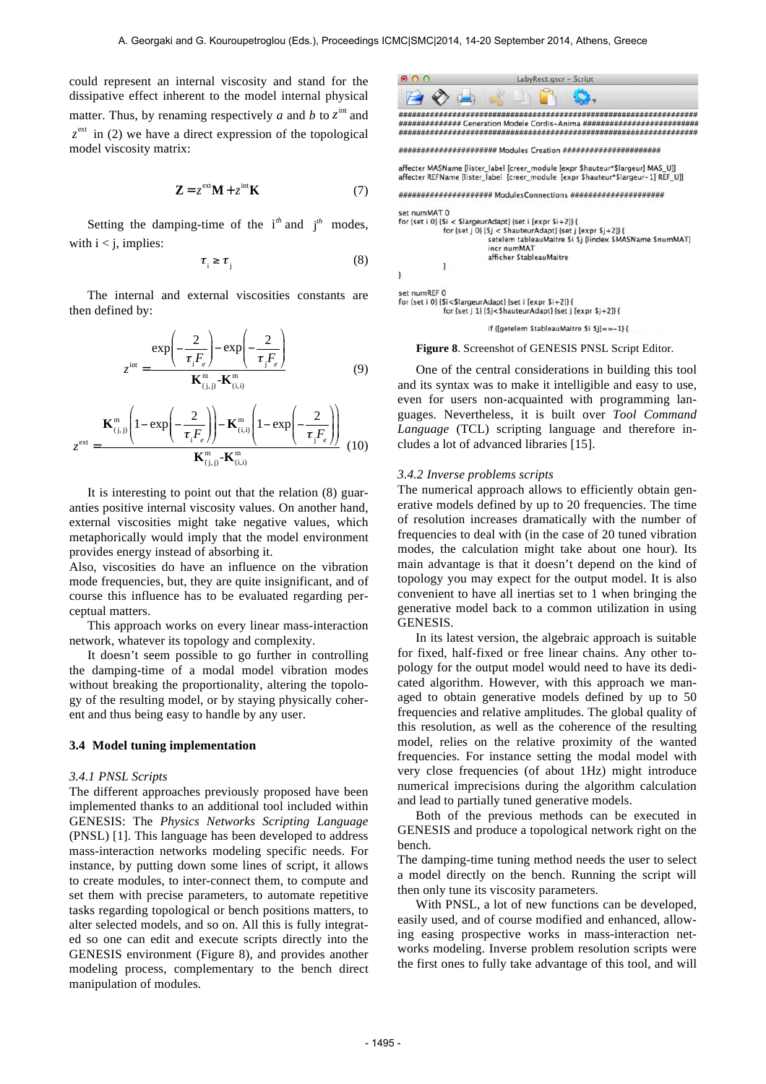could represent an internal viscosity and stand for the dissipative effect inherent to the model internal physical matter. Thus, by renaming respectively *a* and *b* to  $z^{\text{int}}$  and  $z^{\text{ext}}$  in (2) we have a direct expression of the topological model viscosity matrix:

$$
\mathbf{Z} = z^{\text{ext}} \mathbf{M} + z^{\text{int}} \mathbf{K}
$$
 (7)

Setting the damping-time of the  $i^{th}$  and  $j^{th}$  modes, with  $i < j$ , implies:

$$
\tau_{i} \geq \tau_{j} \tag{8}
$$

The internal and external viscosities constants are then defined by:

$$
z^{\text{int}} = \frac{\exp\left(-\frac{2}{\tau_{i}F_{e}}\right) - \exp\left(-\frac{2}{\tau_{j}F_{e}}\right)}{\mathbf{K}_{(j,j)}^{\text{m}} - \mathbf{K}_{(i,i)}^{\text{m}}} \tag{9}
$$

$$
z^{\text{ext}} = \frac{\mathbf{K}_{(j,j)}^{\text{m}} \left(1 - \exp\left(-\frac{2}{\tau_{i} F_{e}}\right)\right) - \mathbf{K}_{(i,i)}^{\text{m}} \left(1 - \exp\left(-\frac{2}{\tau_{j} F_{e}}\right)\right)}{\mathbf{K}_{(j,j)}^{\text{m}} - \mathbf{K}_{(i,i)}^{\text{m}}} \tag{10}
$$

It is interesting to point out that the relation (8) guaranties positive internal viscosity values. On another hand, external viscosities might take negative values, which metaphorically would imply that the model environment provides energy instead of absorbing it.

Also, viscosities do have an influence on the vibration mode frequencies, but, they are quite insignificant, and of course this influence has to be evaluated regarding perceptual matters.

This approach works on every linear mass-interaction network, whatever its topology and complexity.

It doesn't seem possible to go further in controlling the damping-time of a modal model vibration modes without breaking the proportionality, altering the topology of the resulting model, or by staying physically coherent and thus being easy to handle by any user.

#### **3.4 Model tuning implementation**

#### *3.4.1 PNSL Scripts*

The different approaches previously proposed have been implemented thanks to an additional tool included within GENESIS: The *Physics Networks Scripting Language*  (PNSL) [1]. This language has been developed to address mass-interaction networks modeling specific needs. For instance, by putting down some lines of script, it allows to create modules, to inter-connect them, to compute and set them with precise parameters, to automate repetitive tasks regarding topological or bench positions matters, to alter selected models, and so on. All this is fully integrated so one can edit and execute scripts directly into the GENESIS environment (Figure 8), and provides another modeling process, complementary to the bench direct manipulation of modules.

![](_page_5_Picture_15.jpeg)

for {set j 1} {\$j<\$hauteurAdapt} {set j [expr \$j+2]} {

if {[getelem StableauMaitre \$i \$j] ==-1} {

**Figure 8**. Screenshot of GENESIS PNSL Script Editor.

One of the central considerations in building this tool and its syntax was to make it intelligible and easy to use, even for users non-acquainted with programming languages. Nevertheless, it is built over *Tool Command Language* (TCL) scripting language and therefore includes a lot of advanced libraries [15].

#### *3.4.2 Inverse problems scripts*

The numerical approach allows to efficiently obtain generative models defined by up to 20 frequencies. The time of resolution increases dramatically with the number of frequencies to deal with (in the case of 20 tuned vibration modes, the calculation might take about one hour). Its main advantage is that it doesn't depend on the kind of topology you may expect for the output model. It is also convenient to have all inertias set to 1 when bringing the generative model back to a common utilization in using GENESIS.

In its latest version, the algebraic approach is suitable for fixed, half-fixed or free linear chains. Any other topology for the output model would need to have its dedicated algorithm. However, with this approach we managed to obtain generative models defined by up to 50 frequencies and relative amplitudes. The global quality of this resolution, as well as the coherence of the resulting model, relies on the relative proximity of the wanted frequencies. For instance setting the modal model with very close frequencies (of about 1Hz) might introduce numerical imprecisions during the algorithm calculation and lead to partially tuned generative models.

Both of the previous methods can be executed in GENESIS and produce a topological network right on the bench.

The damping-time tuning method needs the user to select a model directly on the bench. Running the script will then only tune its viscosity parameters.

With PNSL, a lot of new functions can be developed, easily used, and of course modified and enhanced, allowing easing prospective works in mass-interaction networks modeling. Inverse problem resolution scripts were the first ones to fully take advantage of this tool, and will